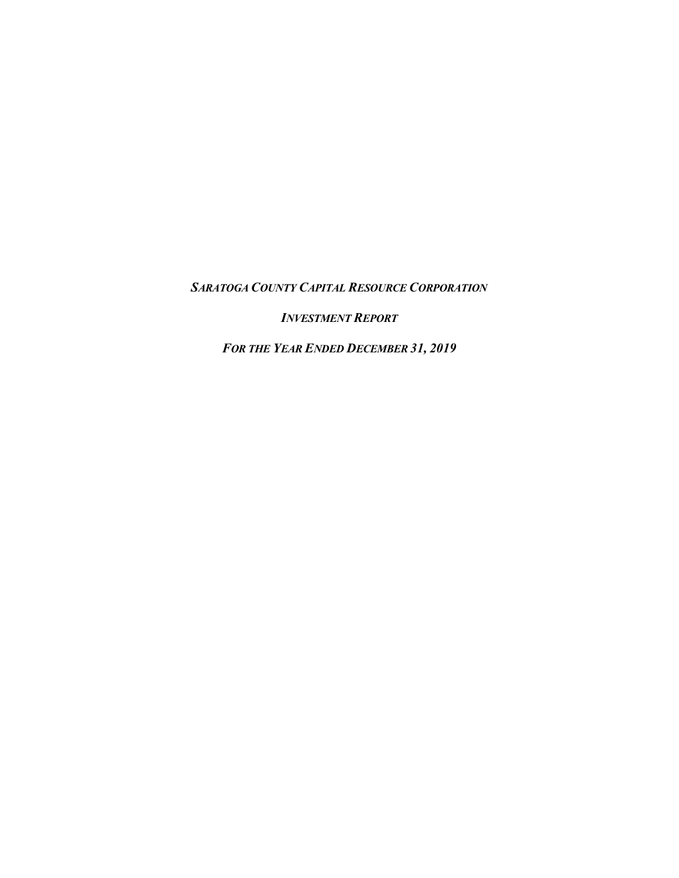*SARATOGA COUNTY CAPITAL RESOURCE CORPORATION*

*INVESTMENT REPORT*

*FOR THE YEAR ENDED DECEMBER 31, 2019*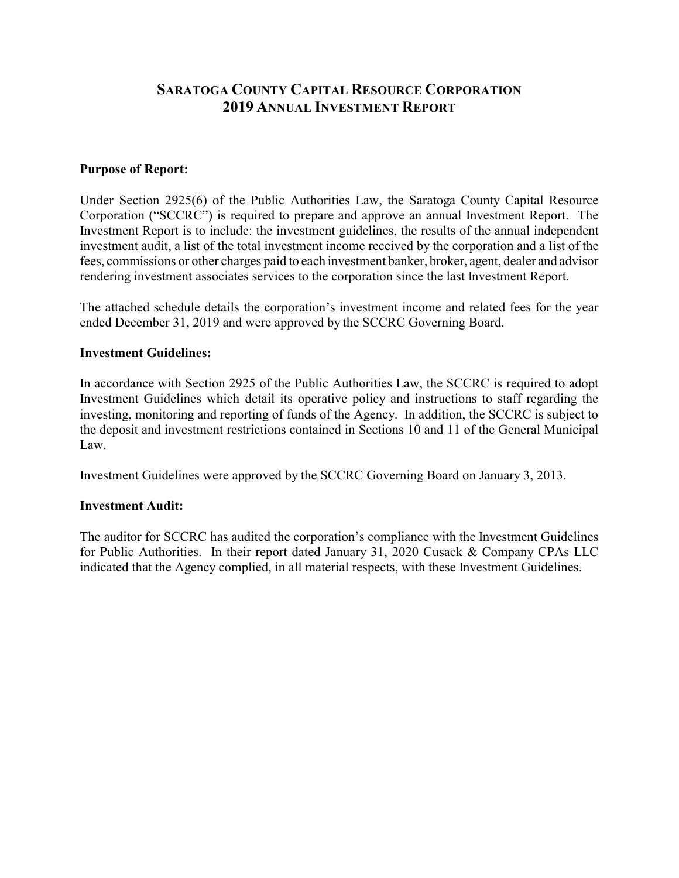# **SARATOGA COUNTY CAPITAL RESOURCE CORPORATION 2019 ANNUAL INVESTMENT REPORT**

### **Purpose of Report:**

Under Section 2925(6) of the Public Authorities Law, the Saratoga County Capital Resource Corporation ("SCCRC") is required to prepare and approve an annual Investment Report. The Investment Report is to include: the investment guidelines, the results of the annual independent investment audit, a list of the total investment income received by the corporation and a list of the fees, commissions or other charges paid to each investment banker, broker, agent, dealer and advisor rendering investment associates services to the corporation since the last Investment Report.

The attached schedule details the corporation's investment income and related fees for the year ended December 31, 2019 and were approved by the SCCRC Governing Board.

#### **Investment Guidelines:**

In accordance with Section 2925 of the Public Authorities Law, the SCCRC is required to adopt Investment Guidelines which detail its operative policy and instructions to staff regarding the investing, monitoring and reporting of funds of the Agency. In addition, the SCCRC is subject to the deposit and investment restrictions contained in Sections 10 and 11 of the General Municipal Law.

Investment Guidelines were approved by the SCCRC Governing Board on January 3, 2013.

#### **Investment Audit:**

The auditor for SCCRC has audited the corporation's compliance with the Investment Guidelines for Public Authorities. In their report dated January 31, 2020 Cusack & Company CPAs LLC indicated that the Agency complied, in all material respects, with these Investment Guidelines.